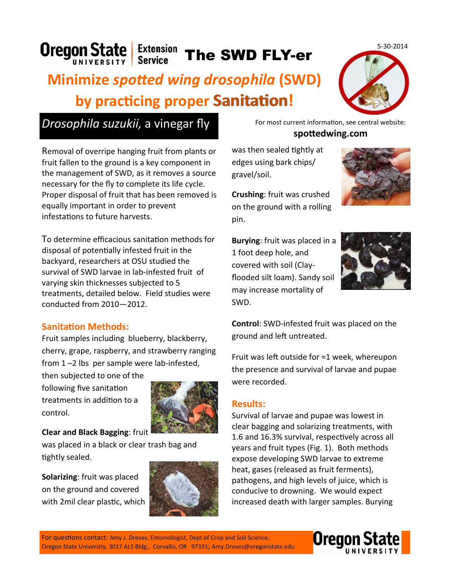Oregon State Extension The SWD FLY-er

# **Minimize** *spotted wing drosophila* **(SWD) by practicing proper Sanitation!**



Removal of overripe hanging fruit from plants or fruit fallen to the ground is a key component in the management of SWD, as it removes a source necessary for the fly to complete its life cycle. Proper disposal of fruit that has been removed is equally important in order to prevent infestations to future harvests.

To determine efficacious sanitation methods for disposal of potentially infested fruit in the backyard, researchers at OSU studied the survival of SWD larvae in lab-infested fruit of varying skin thicknesses subjected to 5 treatments, detailed below. Field studies were conducted from 2010—2012.

## **Sanitation Methods:**

Fruit samples including blueberry, blackberry, cherry, grape, raspberry, and strawberry ranging from 1 –2 lbs per sample were lab-infested,

then subjected to one of the following five sanitation treatments in addition to a control.



**Clear and Black Bagging**: fruit

was placed in a black or clear trash bag and tightly sealed.

**Solarizing**: fruit was placed on the ground and covered with 2mil clear plastic, which



**spottedwing.com**

was then sealed tightly at edges using bark chips/ gravel/soil.

**Crushing**: fruit was crushed on the ground with a rolling pin.

**Burying**: fruit was placed in a 1 foot deep hole, and covered with soil (Clayflooded silt loam). Sandy soil may increase mortality of SWD.



**Control**: SWD-infested fruit was placed on the ground and left untreated.

Fruit was left outside for ≈1 week, whereupon the presence and survival of larvae and pupae were recorded.

#### **Results:**

Survival of larvae and pupae was lowest in clear bagging and solarizing treatments, with 1.6 and 16.3% survival, respectively across all years and fruit types (Fig. 1). Both methods expose developing SWD larvae to extreme heat, gases (released as fruit ferments), pathogens, and high levels of juice, which is conducive to drowning. We would expect increased death with larger samples. Burying

1 Oregon State University, 3017 ALS Bldg., Corvallis, OR 97331; Amy.Dreves@oregonstate.edu For questions contact: Amy J. Dreves, Entomologist, Dept of Crop and Soil Science,





5-30-2014